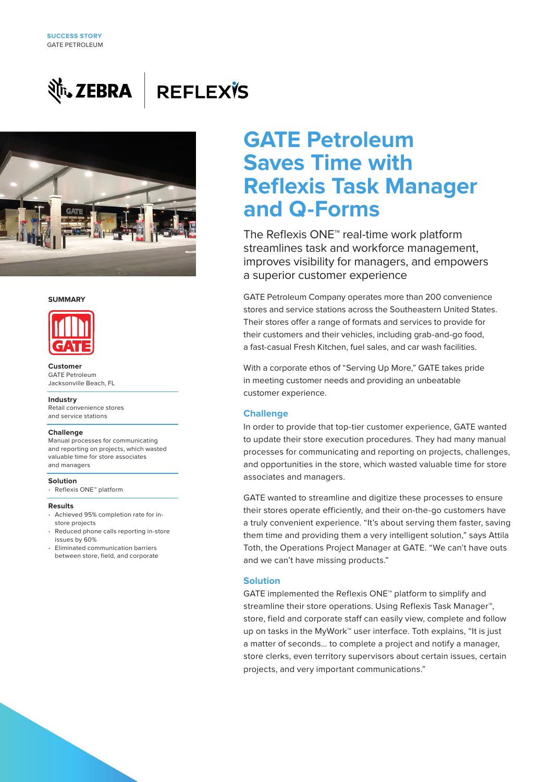

# **REFLEXTS**



### **SUMMARY**



**Customer**  GATE Petroleum Jacksonville Beach, FL

### **Industry**

Retail convenience stores and service stations

### **Challenge**

Manual processes for communicating and reporting on projects, which wasted valuable time for store associates and managers

### **Solution**

• Reflexis ONE™ platform

#### **Results**

- Achieved 95% completion rate for instore projects
- Reduced phone calls reporting in-store issues by 60%
- Eliminated communication barriers between store, field, and corporate

# **GATE Petroleum Saves Time with Reflexis Task Manager and Q-Forms**

The Reflexis ONE™ real-time work platform streamlines task and workforce management, improves visibility for managers, and empowers a superior customer experience

GATE Petroleum Company operates more than 200 convenience stores and service stations across the Southeastern United States. Their stores offer a range of formats and services to provide for their customers and their vehicles, including grab-and-go food, a fast-casual Fresh Kitchen, fuel sales, and car wash facilities.

With a corporate ethos of "Serving Up More," GATE takes pride in meeting customer needs and providing an unbeatable customer experience.

### **Challenge**

In order to provide that top-tier customer experience, GATE wanted to update their store execution procedures. They had many manual processes for communicating and reporting on projects, challenges, and opportunities in the store, which wasted valuable time for store associates and managers.

GATE wanted to streamline and digitize these processes to ensure their stores operate efficiently, and their on-the-go customers have a truly convenient experience. "It's about serving them faster, saving them time and providing them a very intelligent solution," says Attila Toth, the Operations Project Manager at GATE. "We can't have outs and we can't have missing products."

### **Solution**

GATE implemented the Reflexis ONE™ platform to simplify and streamline their store operations. Using Reflexis Task Manager™, store, field and corporate staff can easily view, complete and follow up on tasks in the MyWork™ user interface. Toth explains, "It is just a matter of seconds… to complete a project and notify a manager, store clerks, even territory supervisors about certain issues, certain projects, and very important communications."